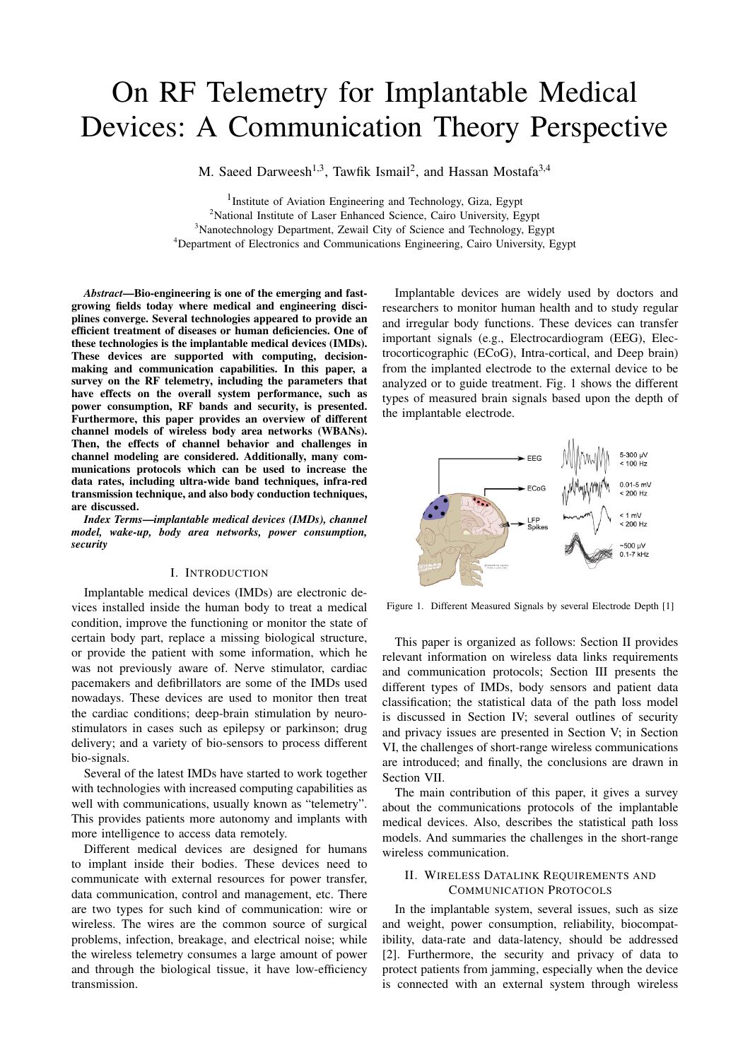# On RF Telemetry for Implantable Medical Devices: A Communication Theory Perspective

M. Saeed Darweesh<sup>1,3</sup>, Tawfik Ismail<sup>2</sup>, and Hassan Mostafa<sup>3,4</sup>

<sup>1</sup> Institute of Aviation Engineering and Technology, Giza, Egypt <sup>2</sup>National Institute of Laser Enhanced Science, Cairo University, Egypt <sup>3</sup>Nanotechnology Department, Zewail City of Science and Technology, Egypt <sup>4</sup>Department of Electronics and Communications Engineering, Cairo University, Egypt

*Abstract*—Bio-engineering is one of the emerging and fastgrowing fields today where medical and engineering disciplines converge. Several technologies appeared to provide an efficient treatment of diseases or human deficiencies. One of these technologies is the implantable medical devices (IMDs). These devices are supported with computing, decisionmaking and communication capabilities. In this paper, a survey on the RF telemetry, including the parameters that have effects on the overall system performance, such as power consumption, RF bands and security, is presented. Furthermore, this paper provides an overview of different channel models of wireless body area networks (WBANs). Then, the effects of channel behavior and challenges in channel modeling are considered. Additionally, many communications protocols which can be used to increase the data rates, including ultra-wide band techniques, infra-red transmission technique, and also body conduction techniques, are discussed.

*Index Terms*—*implantable medical devices (IMDs), channel model, wake-up, body area networks, power consumption, security*

# I. INTRODUCTION

Implantable medical devices (IMDs) are electronic devices installed inside the human body to treat a medical condition, improve the functioning or monitor the state of certain body part, replace a missing biological structure, or provide the patient with some information, which he was not previously aware of. Nerve stimulator, cardiac pacemakers and defibrillators are some of the IMDs used nowadays. These devices are used to monitor then treat the cardiac conditions; deep-brain stimulation by neurostimulators in cases such as epilepsy or parkinson; drug delivery; and a variety of bio-sensors to process different bio-signals.

Several of the latest IMDs have started to work together with technologies with increased computing capabilities as well with communications, usually known as "telemetry". This provides patients more autonomy and implants with more intelligence to access data remotely.

Different medical devices are designed for humans to implant inside their bodies. These devices need to communicate with external resources for power transfer, data communication, control and management, etc. There are two types for such kind of communication: wire or wireless. The wires are the common source of surgical problems, infection, breakage, and electrical noise; while the wireless telemetry consumes a large amount of power and through the biological tissue, it have low-efficiency transmission.

Implantable devices are widely used by doctors and researchers to monitor human health and to study regular and irregular body functions. These devices can transfer important signals (e.g., Electrocardiogram (EEG), Electrocorticographic (ECoG), Intra-cortical, and Deep brain) from the implanted electrode to the external device to be analyzed or to guide treatment. Fig. 1 shows the different types of measured brain signals based upon the depth of the implantable electrode.



Figure 1. Different Measured Signals by several Electrode Depth [1]

This paper is organized as follows: Section II provides relevant information on wireless data links requirements and communication protocols; Section III presents the different types of IMDs, body sensors and patient data classification; the statistical data of the path loss model is discussed in Section IV; several outlines of security and privacy issues are presented in Section V; in Section VI, the challenges of short-range wireless communications are introduced; and finally, the conclusions are drawn in Section VII.

The main contribution of this paper, it gives a survey about the communications protocols of the implantable medical devices. Also, describes the statistical path loss models. And summaries the challenges in the short-range wireless communication.

# II. WIRELESS DATALINK REQUIREMENTS AND COMMUNICATION PROTOCOLS

In the implantable system, several issues, such as size and weight, power consumption, reliability, biocompatibility, data-rate and data-latency, should be addressed [2]. Furthermore, the security and privacy of data to protect patients from jamming, especially when the device is connected with an external system through wireless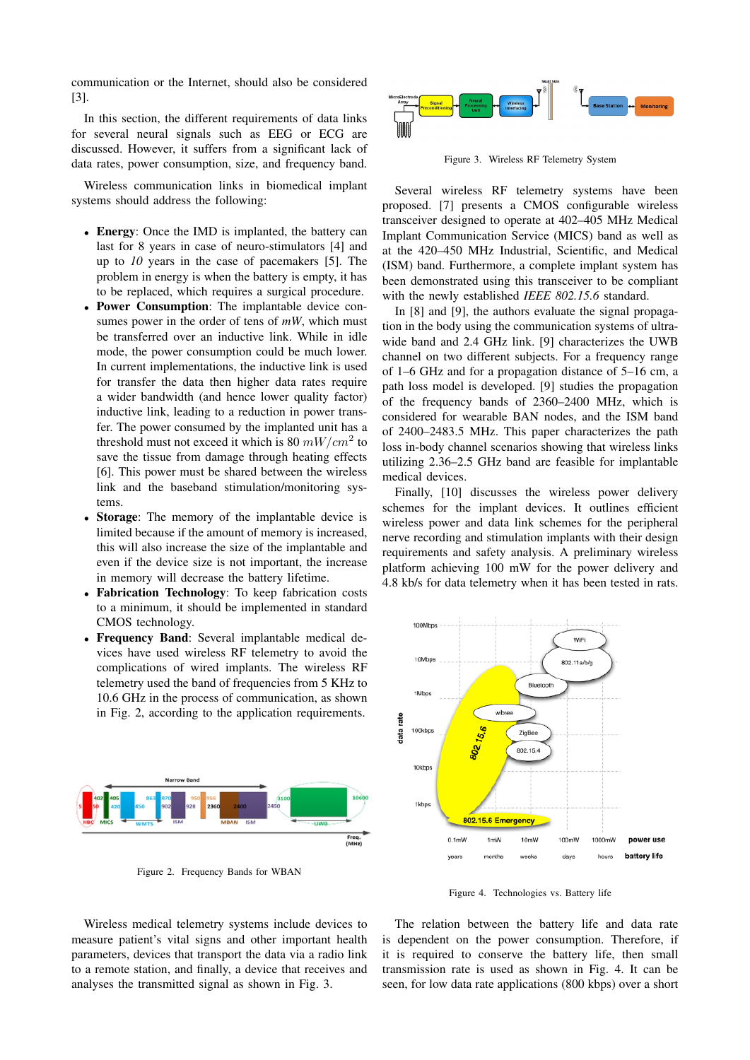communication or the Internet, should also be considered [3].

In this section, the different requirements of data links for several neural signals such as EEG or ECG are discussed. However, it suffers from a significant lack of data rates, power consumption, size, and frequency band.

Wireless communication links in biomedical implant systems should address the following:

- Energy: Once the IMD is implanted, the battery can last for 8 years in case of neuro-stimulators [4] and up to *10* years in the case of pacemakers [5]. The problem in energy is when the battery is empty, it has to be replaced, which requires a surgical procedure.
- Power Consumption: The implantable device consumes power in the order of tens of *mW*, which must be transferred over an inductive link. While in idle mode, the power consumption could be much lower. In current implementations, the inductive link is used for transfer the data then higher data rates require a wider bandwidth (and hence lower quality factor) inductive link, leading to a reduction in power transfer. The power consumed by the implanted unit has a threshold must not exceed it which is 80  $mW/cm^2$  to save the tissue from damage through heating effects [6]. This power must be shared between the wireless link and the baseband stimulation/monitoring systems.
- Storage: The memory of the implantable device is limited because if the amount of memory is increased, this will also increase the size of the implantable and even if the device size is not important, the increase in memory will decrease the battery lifetime.
- Fabrication Technology: To keep fabrication costs to a minimum, it should be implemented in standard CMOS technology.
- Frequency Band: Several implantable medical devices have used wireless RF telemetry to avoid the complications of wired implants. The wireless RF telemetry used the band of frequencies from 5 KHz to 10.6 GHz in the process of communication, as shown in Fig. 2, according to the application requirements.



Figure 2. Frequency Bands for WBAN



Figure 3. Wireless RF Telemetry System

Several wireless RF telemetry systems have been proposed. [7] presents a CMOS configurable wireless transceiver designed to operate at 402–405 MHz Medical Implant Communication Service (MICS) band as well as at the 420–450 MHz Industrial, Scientific, and Medical (ISM) band. Furthermore, a complete implant system has been demonstrated using this transceiver to be compliant with the newly established *IEEE 802.15.6* standard.

In [8] and [9], the authors evaluate the signal propagation in the body using the communication systems of ultrawide band and 2.4 GHz link. [9] characterizes the UWB channel on two different subjects. For a frequency range of 1–6 GHz and for a propagation distance of 5–16 cm, a path loss model is developed. [9] studies the propagation of the frequency bands of 2360–2400 MHz, which is considered for wearable BAN nodes, and the ISM band of 2400–2483.5 MHz. This paper characterizes the path loss in-body channel scenarios showing that wireless links utilizing 2.36–2.5 GHz band are feasible for implantable medical devices.

Finally, [10] discusses the wireless power delivery schemes for the implant devices. It outlines efficient wireless power and data link schemes for the peripheral nerve recording and stimulation implants with their design requirements and safety analysis. A preliminary wireless platform achieving 100 mW for the power delivery and 4.8 kb/s for data telemetry when it has been tested in rats.



Figure 4. Technologies vs. Battery life

Wireless medical telemetry systems include devices to measure patient's vital signs and other important health parameters, devices that transport the data via a radio link to a remote station, and finally, a device that receives and analyses the transmitted signal as shown in Fig. 3.

The relation between the battery life and data rate is dependent on the power consumption. Therefore, if it is required to conserve the battery life, then small transmission rate is used as shown in Fig. 4. It can be seen, for low data rate applications (800 kbps) over a short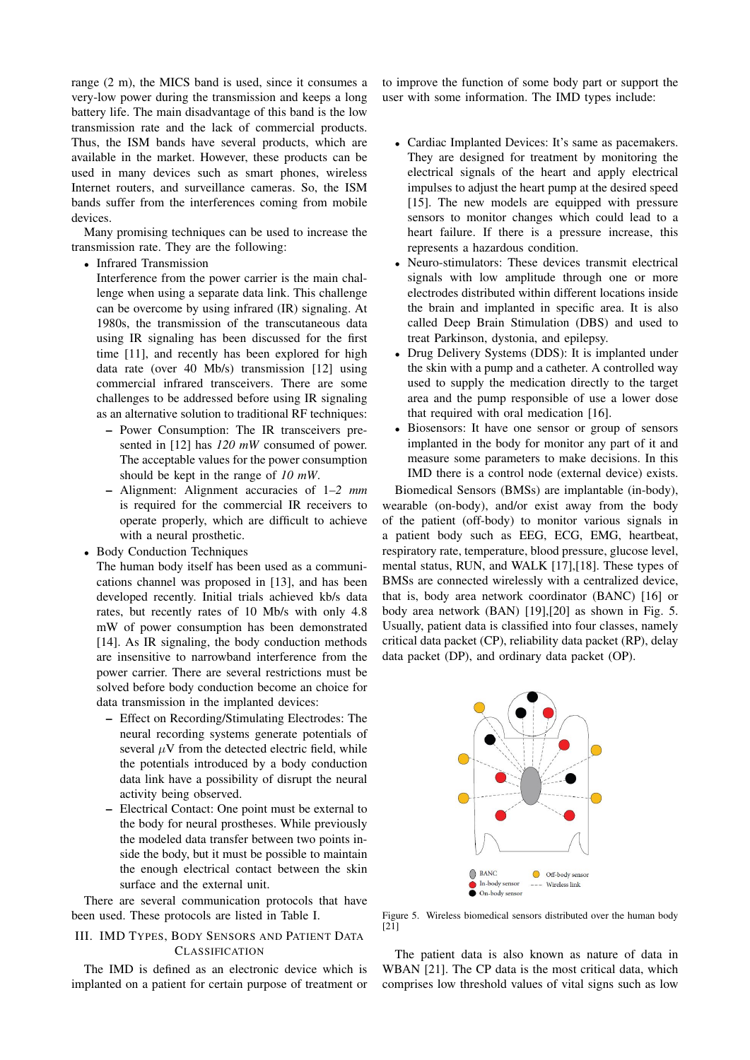range (2 m), the MICS band is used, since it consumes a very-low power during the transmission and keeps a long battery life. The main disadvantage of this band is the low transmission rate and the lack of commercial products. Thus, the ISM bands have several products, which are available in the market. However, these products can be used in many devices such as smart phones, wireless Internet routers, and surveillance cameras. So, the ISM bands suffer from the interferences coming from mobile devices.

Many promising techniques can be used to increase the transmission rate. They are the following:

• Infrared Transmission

Interference from the power carrier is the main challenge when using a separate data link. This challenge can be overcome by using infrared (IR) signaling. At 1980s, the transmission of the transcutaneous data using IR signaling has been discussed for the first time [11], and recently has been explored for high data rate (over 40 Mb/s) transmission [12] using commercial infrared transceivers. There are some challenges to be addressed before using IR signaling as an alternative solution to traditional RF techniques:

- Power Consumption: The IR transceivers presented in [12] has *120 mW* consumed of power. The acceptable values for the power consumption should be kept in the range of *10 mW*.
- Alignment: Alignment accuracies of 1–*2 mm* is required for the commercial IR receivers to operate properly, which are difficult to achieve with a neural prosthetic.
- Body Conduction Techniques

The human body itself has been used as a communications channel was proposed in [13], and has been developed recently. Initial trials achieved kb/s data rates, but recently rates of 10 Mb/s with only 4.8 mW of power consumption has been demonstrated [14]. As IR signaling, the body conduction methods are insensitive to narrowband interference from the power carrier. There are several restrictions must be solved before body conduction become an choice for data transmission in the implanted devices:

- Effect on Recording/Stimulating Electrodes: The neural recording systems generate potentials of several  $\mu$ V from the detected electric field, while the potentials introduced by a body conduction data link have a possibility of disrupt the neural activity being observed.
- Electrical Contact: One point must be external to the body for neural prostheses. While previously the modeled data transfer between two points inside the body, but it must be possible to maintain the enough electrical contact between the skin surface and the external unit.

There are several communication protocols that have been used. These protocols are listed in Table I.

# III. IMD TYPES, BODY SENSORS AND PATIENT DATA **CLASSIFICATION**

The IMD is defined as an electronic device which is implanted on a patient for certain purpose of treatment or

to improve the function of some body part or support the user with some information. The IMD types include:

- Cardiac Implanted Devices: It's same as pacemakers. They are designed for treatment by monitoring the electrical signals of the heart and apply electrical impulses to adjust the heart pump at the desired speed [15]. The new models are equipped with pressure sensors to monitor changes which could lead to a heart failure. If there is a pressure increase, this represents a hazardous condition.
- Neuro-stimulators: These devices transmit electrical signals with low amplitude through one or more electrodes distributed within different locations inside the brain and implanted in specific area. It is also called Deep Brain Stimulation (DBS) and used to treat Parkinson, dystonia, and epilepsy.
- Drug Delivery Systems (DDS): It is implanted under the skin with a pump and a catheter. A controlled way used to supply the medication directly to the target area and the pump responsible of use a lower dose that required with oral medication [16].
- Biosensors: It have one sensor or group of sensors implanted in the body for monitor any part of it and measure some parameters to make decisions. In this IMD there is a control node (external device) exists.

Biomedical Sensors (BMSs) are implantable (in-body), wearable (on-body), and/or exist away from the body of the patient (off-body) to monitor various signals in a patient body such as EEG, ECG, EMG, heartbeat, respiratory rate, temperature, blood pressure, glucose level, mental status, RUN, and WALK [17],[18]. These types of BMSs are connected wirelessly with a centralized device, that is, body area network coordinator (BANC) [16] or body area network (BAN) [19],[20] as shown in Fig. 5. Usually, patient data is classified into four classes, namely critical data packet (CP), reliability data packet (RP), delay data packet (DP), and ordinary data packet (OP).



Figure 5. Wireless biomedical sensors distributed over the human body [21]

The patient data is also known as nature of data in WBAN [21]. The CP data is the most critical data, which comprises low threshold values of vital signs such as low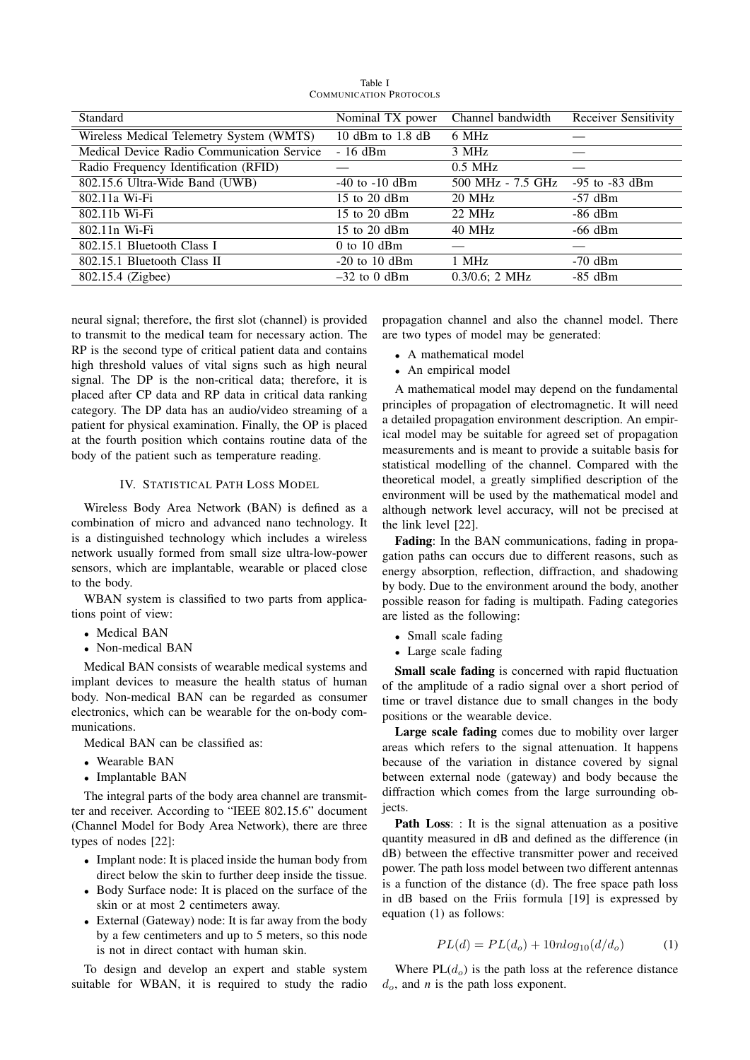| Nominal TX power   | Channel bandwidth                          | <b>Receiver Sensitivity</b> |
|--------------------|--------------------------------------------|-----------------------------|
| 10 dBm to $1.8$ dB | 6 MHz                                      |                             |
| $-16$ dBm          | 3 MHz                                      |                             |
|                    | $0.5$ MHz                                  |                             |
| $-40$ to $-10$ dBm | 500 MHz - 7.5 GHz                          | $-95$ to $-83$ dBm          |
| 15 to 20 dBm       | 20 MHz                                     | $-57$ dBm                   |
| 15 to 20 dBm       | $22$ MHz                                   | $-86$ dBm                   |
| 15 to $20$ dBm     | 40 MHz                                     | $-66$ dBm                   |
| $0$ to 10 dBm      |                                            |                             |
| $-20$ to 10 dBm    | 1 MHz                                      | $-70$ dBm                   |
| $-32$ to 0 dBm     | $0.3/0.6$ ; 2 MHz                          | $-85$ dBm                   |
|                    | Medical Device Radio Communication Service |                             |

Table I COMMUNICATION PROTOCOLS

neural signal; therefore, the first slot (channel) is provided to transmit to the medical team for necessary action. The RP is the second type of critical patient data and contains high threshold values of vital signs such as high neural signal. The DP is the non-critical data; therefore, it is placed after CP data and RP data in critical data ranking category. The DP data has an audio/video streaming of a patient for physical examination. Finally, the OP is placed at the fourth position which contains routine data of the body of the patient such as temperature reading.

#### IV. STATISTICAL PATH LOSS MODEL

Wireless Body Area Network (BAN) is defined as a combination of micro and advanced nano technology. It is a distinguished technology which includes a wireless network usually formed from small size ultra-low-power sensors, which are implantable, wearable or placed close to the body.

WBAN system is classified to two parts from applications point of view:

- Medical BAN
- Non-medical BAN

Medical BAN consists of wearable medical systems and implant devices to measure the health status of human body. Non-medical BAN can be regarded as consumer electronics, which can be wearable for the on-body communications.

Medical BAN can be classified as:

- Wearable BAN
- Implantable BAN

The integral parts of the body area channel are transmitter and receiver. According to "IEEE 802.15.6" document (Channel Model for Body Area Network), there are three types of nodes [22]:

- Implant node: It is placed inside the human body from direct below the skin to further deep inside the tissue.
- Body Surface node: It is placed on the surface of the skin or at most 2 centimeters away.
- External (Gateway) node: It is far away from the body by a few centimeters and up to 5 meters, so this node is not in direct contact with human skin.

To design and develop an expert and stable system suitable for WBAN, it is required to study the radio propagation channel and also the channel model. There are two types of model may be generated:

- A mathematical model
- An empirical model

A mathematical model may depend on the fundamental principles of propagation of electromagnetic. It will need a detailed propagation environment description. An empirical model may be suitable for agreed set of propagation measurements and is meant to provide a suitable basis for statistical modelling of the channel. Compared with the theoretical model, a greatly simplified description of the environment will be used by the mathematical model and although network level accuracy, will not be precised at the link level [22].

Fading: In the BAN communications, fading in propagation paths can occurs due to different reasons, such as energy absorption, reflection, diffraction, and shadowing by body. Due to the environment around the body, another possible reason for fading is multipath. Fading categories are listed as the following:

- Small scale fading
- Large scale fading

Small scale fading is concerned with rapid fluctuation of the amplitude of a radio signal over a short period of time or travel distance due to small changes in the body positions or the wearable device.

Large scale fading comes due to mobility over larger areas which refers to the signal attenuation. It happens because of the variation in distance covered by signal between external node (gateway) and body because the diffraction which comes from the large surrounding objects.

Path Loss: : It is the signal attenuation as a positive quantity measured in dB and defined as the difference (in dB) between the effective transmitter power and received power. The path loss model between two different antennas is a function of the distance (d). The free space path loss in dB based on the Friis formula [19] is expressed by equation (1) as follows:

$$
PL(d) = PL(d_o) + 10nlog_{10}(d/d_o)
$$
 (1)

Where  $PL(d<sub>o</sub>)$  is the path loss at the reference distance  $d<sub>o</sub>$ , and *n* is the path loss exponent.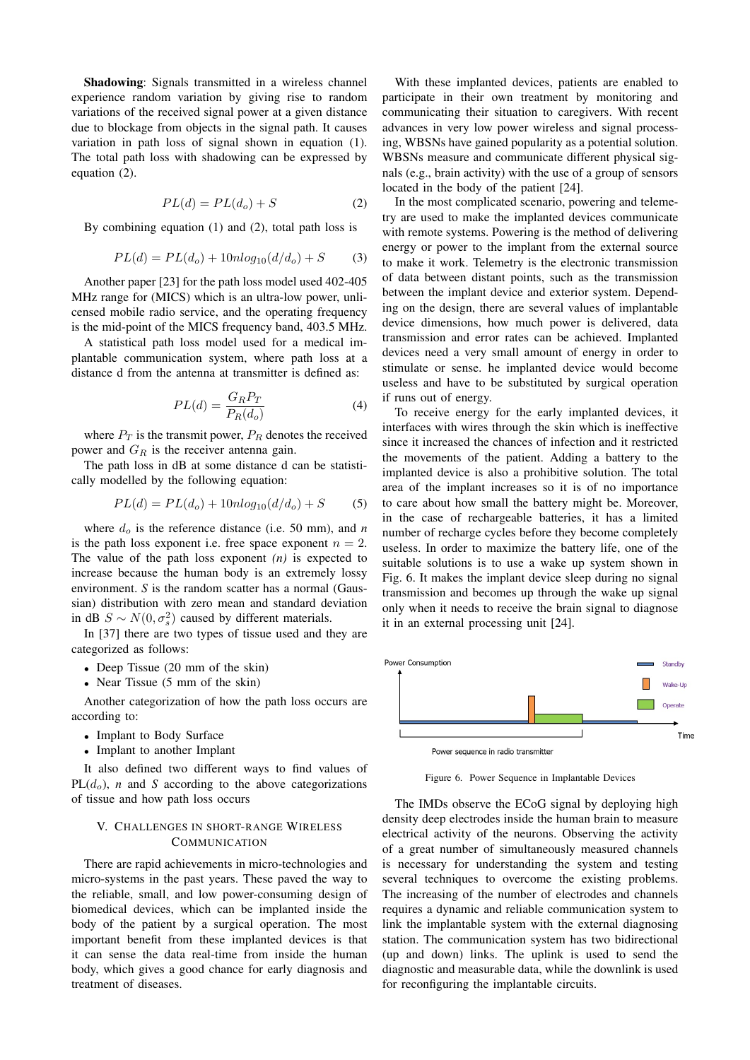Shadowing: Signals transmitted in a wireless channel experience random variation by giving rise to random variations of the received signal power at a given distance due to blockage from objects in the signal path. It causes variation in path loss of signal shown in equation (1). The total path loss with shadowing can be expressed by equation (2).

$$
PL(d) = PL(d_o) + S \tag{2}
$$

By combining equation (1) and (2), total path loss is

$$
PL(d) = PL(d_o) + 10nlog_{10}(d/d_o) + S \tag{3}
$$

Another paper [23] for the path loss model used 402-405 MHz range for (MICS) which is an ultra-low power, unlicensed mobile radio service, and the operating frequency is the mid-point of the MICS frequency band, 403.5 MHz.

A statistical path loss model used for a medical implantable communication system, where path loss at a distance d from the antenna at transmitter is defined as:

$$
PL(d) = \frac{G_R P_T}{P_R(d_o)}\tag{4}
$$

where  $P_T$  is the transmit power,  $P_R$  denotes the received power and  $G_R$  is the receiver antenna gain.

The path loss in dB at some distance d can be statistically modelled by the following equation:

$$
PL(d) = PL(d_o) + 10nlog_{10}(d/d_o) + S
$$
 (5)

where  $d_o$  is the reference distance (i.e. 50 mm), and *n* is the path loss exponent i.e. free space exponent  $n = 2$ . The value of the path loss exponent *(n)* is expected to increase because the human body is an extremely lossy environment. *S* is the random scatter has a normal (Gaussian) distribution with zero mean and standard deviation in dB  $S \sim N(0, \sigma_s^2)$  caused by different materials.

In [37] there are two types of tissue used and they are categorized as follows:

• Deep Tissue (20 mm of the skin)

• Near Tissue (5 mm of the skin)

Another categorization of how the path loss occurs are according to:

- Implant to Body Surface
- Implant to another Implant

It also defined two different ways to find values of  $PL(d<sub>o</sub>)$ , *n* and *S* according to the above categorizations of tissue and how path loss occurs

# V. CHALLENGES IN SHORT-RANGE WIRELESS **COMMUNICATION**

There are rapid achievements in micro-technologies and micro-systems in the past years. These paved the way to the reliable, small, and low power-consuming design of biomedical devices, which can be implanted inside the body of the patient by a surgical operation. The most important benefit from these implanted devices is that it can sense the data real-time from inside the human body, which gives a good chance for early diagnosis and treatment of diseases.

With these implanted devices, patients are enabled to participate in their own treatment by monitoring and communicating their situation to caregivers. With recent advances in very low power wireless and signal processing, WBSNs have gained popularity as a potential solution. WBSNs measure and communicate different physical signals (e.g., brain activity) with the use of a group of sensors located in the body of the patient [24].

In the most complicated scenario, powering and telemetry are used to make the implanted devices communicate with remote systems. Powering is the method of delivering energy or power to the implant from the external source to make it work. Telemetry is the electronic transmission of data between distant points, such as the transmission between the implant device and exterior system. Depending on the design, there are several values of implantable device dimensions, how much power is delivered, data transmission and error rates can be achieved. Implanted devices need a very small amount of energy in order to stimulate or sense. he implanted device would become useless and have to be substituted by surgical operation if runs out of energy.

To receive energy for the early implanted devices, it interfaces with wires through the skin which is ineffective since it increased the chances of infection and it restricted the movements of the patient. Adding a battery to the implanted device is also a prohibitive solution. The total area of the implant increases so it is of no importance to care about how small the battery might be. Moreover, in the case of rechargeable batteries, it has a limited number of recharge cycles before they become completely useless. In order to maximize the battery life, one of the suitable solutions is to use a wake up system shown in Fig. 6. It makes the implant device sleep during no signal transmission and becomes up through the wake up signal only when it needs to receive the brain signal to diagnose it in an external processing unit [24].



Figure 6. Power Sequence in Implantable Devices

The IMDs observe the ECoG signal by deploying high density deep electrodes inside the human brain to measure electrical activity of the neurons. Observing the activity of a great number of simultaneously measured channels is necessary for understanding the system and testing several techniques to overcome the existing problems. The increasing of the number of electrodes and channels requires a dynamic and reliable communication system to link the implantable system with the external diagnosing station. The communication system has two bidirectional (up and down) links. The uplink is used to send the diagnostic and measurable data, while the downlink is used for reconfiguring the implantable circuits.